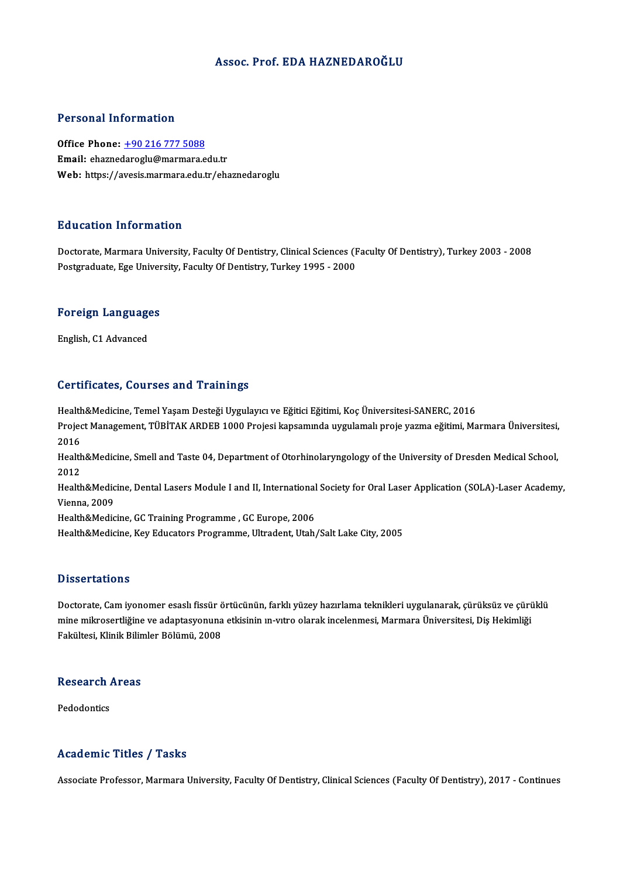#### Assoc. Prof. EDA HAZNEDAROĞLU

#### Personal Information

Office Phone: +90 216 777 5088 Email: ehazne[daroglu@marmara.e](tel:+90 216 777 5088)du.tr Web: https://avesis.marmara.edu.tr/ehaznedaroglu

#### Education Information

Doctorate, Marmara University, Faculty Of Dentistry, Clinical Sciences (Faculty Of Dentistry), Turkey 2003 - 2008 Postgraduate, Ege University, Faculty Of Dentistry, Turkey 1995 - 2000

### rosigraduate, Ege oniver<br>Foreign Languages <mark>Foreign Languag</mark>e<br>English, C1 Advanced

## English, C1 Advanced<br>Certificates, Courses and Trainings

Certificates, Courses and Trainings<br>Health&Medicine, Temel Yaşam Desteği Uygulayıcı ve Eğitici Eğitimi, Koç Üniversitesi-SANERC, 2016<br>Preject Management, TüpiTAK APDER 1000 Prejeci kancamında uygulamalı preje yazma eğitimi SSF EHFORCOS) SORFOOD RHA-FFAHHHESD<br>Health&Medicine, Temel Yaşam Desteği Uygulayıcı ve Eğitici Eğitimi, Koç Üniversitesi-SANERC, 2016<br>Project Management, TÜBİTAK ARDEB 1000 Projesi kapsamında uygulamalı proje yazma eğitimi Health<br>Projec<br>2016<br>Health Project Management, TÜBİTAK ARDEB 1000 Projesi kapsamında uygulamalı proje yazma eğitimi, Marmara Üniversitesi,<br>2016<br>Health&Medicine, Smell and Taste 04, Department of Otorhinolaryngology of the University of Dresden Medic 2016<br>Health&Medicine, Smell and Taste 04, Department of Otorhinolaryngology of the University of Dresden Medical School,<br>2012 Health&Medicine, Smell and Taste 04, Department of Otorhinolaryngology of the University of Dresden Medical School,<br>2012<br>Health&Medicine, Dental Lasers Module I and II, International Society for Oral Laser Application (SOL 2012<br>Health&Medic<br>Vienna, 2009<br>Health&Medic Health&Medicine, Dental Lasers Module I and II, International<br>Vienna, 2009<br>Health&Medicine, GC Training Programme , GC Europe, 2006<br>Health&Medicine, Koy Educators Brogramme, Ultradent, Utab Vienna, 2009<br>Health&Medicine, GC Training Programme , GC Europe, 2006<br>Health&Medicine, Key Educators Programme, Ultradent, Utah/Salt Lake City, 2005

#### **Dissertations**

Doctorate, Cam iyonomer esaslı fissür örtücünün, farklı yüzey hazırlama teknikleri uygulanarak, çürüksüz ve çürüklü D'isser tarrefis<br>Doctorate, Cam iyonomer esaslı fissür örtücünün, farklı yüzey hazırlama teknikleri uygulanarak, çürüksüz ve çürü<br>Fekültesi, Klipil: Bilimler Bölümü, 2009 Doctorate, Cam iyonomer esaslı fissür ö<br>mine mikrosertliğine ve adaptasyonuna<br>Fakültesi, Klinik Bilimler Bölümü, 2008

### rakultesi, Klinik Bilin<br>Research Areas Re<mark>search</mark><br>Pedodontics

# Pedodontics<br>Academic Titles / Tasks

Associate Professor, Marmara University, Faculty Of Dentistry, Clinical Sciences (Faculty Of Dentistry), 2017 - Continues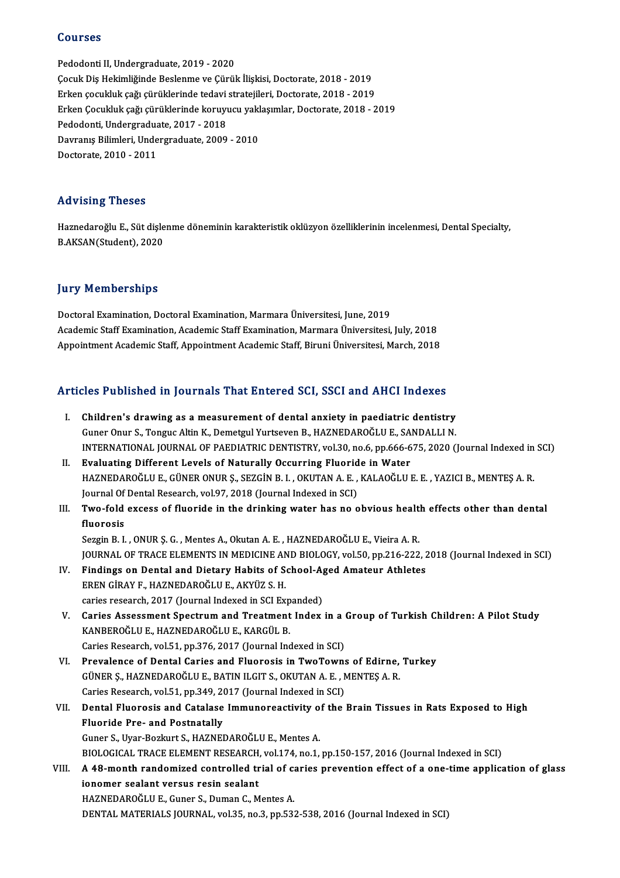#### Courses

Pedodonti II, Undergraduate, 2019 - 2020 ÇocukDişHekimliğindeBeslenme veÇürükİlişkisi,Doctorate,2018 -2019 Erken çocukluk çağı çürüklerinde tedavi stratejileri, Doctorate, 2018 - 2019 Çocuk Diş Hekimliğinde Beslenme ve Çürük İlişkisi, Doctorate, 2018 - 2019<br>Erken çocukluk çağı çürüklerinde tedavi stratejileri, Doctorate, 2018 - 2019<br>Erken Çocukluk çağı çürüklerinde koruyucu yaklaşımlar, Doctorate, 2018 Erken çocukluk çağı çürüklerinde tedavi<br>Erken Çocukluk çağı çürüklerinde koruyı<br>Pedodonti, Undergraduate, 2017 - 2018<br>Dayranıs Bilimleri, Undergraduate, 2009 Erken Çocukluk çağı çürüklerinde koruyucu yakl<br>Pedodonti, Undergraduate, 2017 - 2018<br>Davranış Bilimleri, Undergraduate, 2009 - 2010<br>Dostorate 2010 - 2011 Pedodonti, Undergraduate, 2017 - 2018<br>Davranış Bilimleri, Undergraduate, 2009 - 2010<br>Doctorate, 2010 - 2011

#### Advising Theses

Advising Theses<br>Haznedaroğlu E., Süt dişlenme döneminin karakteristik oklüzyon özelliklerinin incelenmesi, Dental Specialty,<br>RAKSAN(Student), 2020 114 v 1511 5-116565<br>Haznedaroğlu E., Süt dişle<br>B.AKSAN(Student), 2020

## B.AKSAN(Student), 2020<br>Jury Memberships

DoctoralExamination,DoctoralExamination,MarmaraÜniversitesi, June,2019 Academic Staff Examination, Academic Staff Examination, Marmara Üniversitesi, July, 2018 Appointment Academic Staff, Appointment Academic Staff, Biruni Üniversitesi, March, 2018

# Appointment Academic Starl, Appointment Academic Starl, Biruni Universitesi, March, 2018<br>Articles Published in Journals That Entered SCI, SSCI and AHCI Indexes

- Tricles Published in Journals That Entered SCI, SSCI and AHCI Indexes<br>I. Children's drawing as a measurement of dental anxiety in paediatric dentistry<br>Cuner Opur S. Tongue Altin K. Demetrul Yurteeven B. HAZNEDARQČLUE, SAND I. Children's drawing as a measurement of dental anxiety in paediatric dentistry<br>Guner Onur S., Tonguc Altin K., Demetgul Yurtseven B., HAZNEDAROĞLU E., SANDALLI N. INTERNATIONAL JOURNALOF PAEDIATRICDENTISTRY,vol.30,no.6,pp.666-675,2020 (Journal Indexed inSCI)
- II. Evaluating Different Levels of Naturally Occurring Fluoride in Water INTERNATIONAL JOURNAL OF PAEDIATRIC DENTISTRY, vol.30, no.6, pp.666-675, 2020 (Journal Indexed in<br>Evaluating Different Levels of Naturally Occurring Fluoride in Water<br>HAZNEDAROĞLU E., GÜNER ONUR Ş., SEZGİN B. I. , OKUTAN A Evaluating Different Levels of Naturally Occurring Fluorid<br>HAZNEDAROĞLU E., GÜNER ONUR Ş., SEZGİN B. I. , OKUTAN A. E. ,<br>Journal Of Dental Research, vol.97, 2018 (Journal Indexed in SCI)<br>Ture fold avesse of fluoride in the HAZNEDAROĞLU E., GÜNER ONUR Ş., SEZGİN B. I. , OKUTAN A. E. , KALAOĞLU E. E. , YAZICI B., MENTEŞ A. R.<br>Journal Of Dental Research, vol.97, 2018 (Journal Indexed in SCI)<br>III. Two-fold excess of fluoride in the drinking wate
- Journal Of<br><mark>Two-fold</mark><br>fluorosis<br>Seggin B. J III. Two-fold excess of fluoride in the drinking water has no obvious health effects other than dental fluorosis<br>fluorosis<br>Sezgin B. I. , ONUR Ș. G. , Mentes A., Okutan A. E. , HAZNEDAROĞLU E., Vieira A. R.

fluorosis<br>Sezgin B. I. , ONUR Ş. G. , Mentes A., Okutan A. E. , HAZNEDAROĞLU E., Vieira A. R.<br>JOURNAL OF TRACE ELEMENTS IN MEDICINE AND BIOLOGY, vol.50, pp.216-222, 2018 (Journal Indexed in SCI)<br>Findings an Dantal and Dist Sezgin B. I., ONUR Ș. G., Mentes A., Okutan A. E., HAZNEDAROĞLU E., Vieira A. R.<br>JOURNAL OF TRACE ELEMENTS IN MEDICINE AND BIOLOGY, vol.50, pp.216-222, 2<br>IV. Findings on Dental and Dietary Habits of School-Aged Amateur Ath

- FINDENAL OF TRACE ELEMENTS IN MEDICINE AN<br>Findings on Dental and Dietary Habits of S.<br>EREN GİRAY F., HAZNEDAROĞLU E., AKYÜZ S. H.<br>STERENG POSSARA 2017 (Journal Indoved in SCI Ev Findings on Dental and Dietary Habits of School-A<sub>l</sub><br>EREN GİRAY F., HAZNEDAROĞLU E., AKYÜZ S. H.<br>caries research, 2017 (Journal Indexed in SCI Expanded)<br>Caries Assessment Spestrum and Treatment Index EREN GİRAY F., HAZNEDAROĞLU E., AKYÜZ S. H.<br>caries research, 2017 (Journal Indexed in SCI Expanded)<br>V. Caries Assessment Spectrum and Treatment Index in a Group of Turkish Children: A Pilot Study<br>KANPEROĞLU E. HAZNEDAROĞLU
- caries research, 2017 (Journal Indexed in SCI Exp<br>Caries Assessment Spectrum and Treatment<br>KANBEROĞLU E., HAZNEDAROĞLU E., KARGÜL B.<br>Caries Bessarsh val 51 pp 376-2017 (Journal Ind Caries Assessment Spectrum and Treatment Index in a CAR<br>RANBEROĞLU E., HAZNEDAROĞLU E., KARGÜL B.<br>Caries Research, vol.51, pp.376, 2017 (Journal Indexed in SCI)<br>Prevelence of Dental Caries and Elvenceis in Twe Toury KANBEROĞLU E., HAZNEDAROĞLU E., KARGÜL B.<br>Caries Research, vol.51, pp.376, 2017 (Journal Indexed in SCI)<br>VI. Prevalence of Dental Caries and Fluorosis in TwoTowns of Edirne, Turkey<br>CÜNER S. HAZNEDAROĞLU E. BATIN U CIT S. Q
- Caries Research, vol.51, pp.376, 2017 (Journal Indexed in SCI)<br>Prevalence of Dental Caries and Fluorosis in TwoTowns of Edirne,<br>GÜNER Ş., HAZNEDAROĞLU E., BATIN ILGIT S., OKUTAN A. E. , MENTEŞ A. R.<br>Caries Bessarsh val 51, Prevalence of Dental Caries and Fluorosis in TwoTowns<br>GÜNER Ş., HAZNEDAROĞLU E., BATIN ILGIT S., OKUTAN A. E. , N<br>Caries Research, vol.51, pp.349, 2017 (Journal Indexed in SCI)<br>Pental Elusaresis and Catalase Immuneresetivi GÜNER Ș., HAZNEDAROĞLU E., BATIN ILGIT S., OKUTAN A. E. , MENTEȘ A. R.<br>Caries Research, vol.51, pp.349, 2017 (Journal Indexed in SCI)<br>VII. Dental Fluorosis and Catalase Immunoreactivity of the Brain Tissues in Rats Exposed
- Caries Research, vol.51, pp.349, 2017 (Journal Indexed in SCI)<br>Dental Fluorosis and Catalase Immunoreactivity of the<br>Fluoride Pre- and Postnatally<br>Guner S., Uyar-Bozkurt S., HAZNEDAROĞLU E., Mentes A. Dental Fluorosis and Catalase Immunoreactivity o<br>Fluoride Pre- and Postnatally<br>Guner S., Uyar-Bozkurt S., HAZNEDAROĞLU E., Mentes A.<br>PIOLOGICAL TRAGE ELEMENT RESEARCH vol 174 no 1 Fluoride Pre- and Postnatally<br>Guner S., Uyar-Bozkurt S., HAZNEDAROĞLU E., Mentes A.<br>BIOLOGICAL TRACE ELEMENT RESEARCH, vol.174, no.1, pp.150-157, 2016 (Journal Indexed in SCI)<br>A 48 manth randomized controlled trial of cari Guner S., Uyar-Bozkurt S., HAZNEDAROĞLU E., Mentes A.<br>BIOLOGICAL TRACE ELEMENT RESEARCH, vol.174, no.1, pp.150-157, 2016 (Journal Indexed in SCI)<br>VIII. A 48-month randomized controlled trial of caries prevention effect
- BIOLOGICAL TRACE ELEMENT RESEARCH,<br>A 48-month randomized controlled tr<br>ionomer sealant versus resin sealant<br>HAZNEDAROČLU E. Cuner S. Duman C. M A 48-month randomized controlled trial of candomized controlled trial of candomized controlled trial of candomized the search  $\frac{1}{25}$  and  $\frac{1}{25}$  and  $\frac{1}{25}$  and  $\frac{1}{25}$  and  $\frac{1}{25}$  and  $\frac{1}{25}$  and  $\frac{1}{$ ionomer sealant versus resin sealant<br>HAZNEDAROĞLU E., Guner S., Duman C., Mentes A.<br>DENTAL MATERIALS JOURNAL, vol.35, no.3, pp.532-538, 2016 (Journal Indexed in SCI)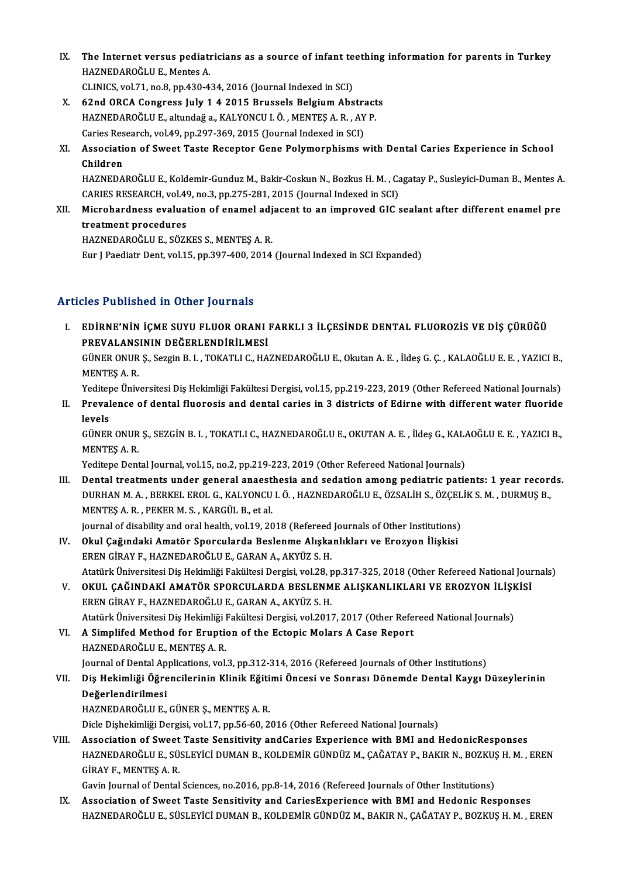IX. The Internet versus pediatricians as a source of infant teething information for parents in Turkey The Internet versus pediati<br>HAZNEDAROĞLU E., Mentes A.<br>CLINICS vel 71 no 8 np 420 4 The Internet versus pediatricians as a source of infant te<br>HAZNEDAROĞLU E., Mentes A.<br>CLINICS, vol.71, no.8, pp.430-434, 2016 (Journal Indexed in SCI)

- HAZNEDAROĞLU E., Mentes A.<br>CLINICS, vol.71, no.8, pp.430-434, 2016 (Journal Indexed in SCI)<br>X. 62nd ORCA Congress July 1 4 2015 Brussels Belgium Abstracts<br>HAZNEDAROĞLU E. elturdağa, KALYONCU LÖ, MENTES A. B., AV P. CLINICS, vol.71, no.8, pp.430-434, 2016 (Journal Indexed in SCI)<br>62nd ORCA Congress July 1 4 2015 Brussels Belgium Abstract<br>HAZNEDAROĞLU E., altundağ a., KALYONCU I.Ö. , MENTEŞ A. R. , AY P.<br>Caries Besearsh vol.49, np.297, 62nd ORCA Congress July 1 4 2015 Brussels Belgium Abstra<br>HAZNEDAROĞLU E., altundağ a., KALYONCU I. Ö. , MENTEŞ A. R. , AY<br>Caries Research, vol.49, pp.297-369, 2015 (Journal Indexed in SCI)<br>Association of Sweet Teste Besent
- HAZNEDAROĞLU E., altundağ a., KALYONCU I. Ö. , MENTEŞ A. R. , AY P.<br>Caries Research, vol.49, pp.297-369, 2015 (Journal Indexed in SCI)<br>XI. Association of Sweet Taste Receptor Gene Polymorphisms with Dental Caries Experienc Caries Res<br>Associatie<br>Children<br>HAZNEDA Association of Sweet Taste Receptor Gene Polymorphisms with Dental Caries Experience in School<br>Children<br>HAZNEDAROĞLU E., Koldemir-Gunduz M., Bakir-Coskun N., Bozkus H. M. , Cagatay P., Susleyici-Duman B., Mentes A.<br>CARIES

Children<br>HAZNEDAROĞLU E., Koldemir-Gunduz M., Bakir-Coskun N., Bozkus H. M. , Ca<br>CARIES RESEARCH, vol.49, no.3, pp.275-281, 2015 (Journal Indexed in SCI)<br>Misrobardness, evoluation of enemal adiaeent to an imnroyed CIC c HAZNEDAROĞLU E., Koldemir-Gunduz M., Bakir-Coskun N., Bozkus H. M. , Cagatay P., Susleyici-Duman B., Mentes A<br>CARIES RESEARCH, vol.49, no.3, pp.275-281, 2015 (Journal Indexed in SCI)<br>XII. Microhardness evaluation of enamel

CARIES RESEARCH, vol.49<br>Microhardness evaluat<br>treatment procedures<br>HAZNEDAROČLU E\_SÖZL Microhardness evaluation of enamel adj<br>treatment procedures<br>HAZNEDAROĞLU E., SÖZKES S., MENTEŞ A. R.<br>Eur LBoodistr Dent vol 15. np 207,400,2014

treatment procedures<br>HAZNEDAROĞLU E., SÖZKES S., MENTEŞ A. R.<br>Eur J Paediatr Dent, vol.15, pp.397-400, 2014 (Journal Indexed in SCI Expanded)

### Articles Published in Other Journals

ITT THE PUBLISHED AN OTHET JOUT ALS<br>I. EDİRNE'NİN İÇME SUYU FLUOR ORANI FARKLI 3 İLÇESİNDE DENTAL FLUOROZIS VE DIŞ ÇÜRÜĞÜ<br>REKALANSININ DEĞERI ENDIRLI MESİ PREVALANSININ DEĞERLENDİRILMESI<br>PREVALANSININ DEĞERLENDİRİLMESİ<br>CÜNEP ONUB S. Seggin B. L. TOKATLI C. HA EDİRNE'NİN İÇME SUYU FLUOR ORANI FARKLI 3 İLÇESİNDE DENTAL FLUOROZİS VE DİŞ ÇÜRÜĞÜ<br>PREVALANSININ DEĞERLENDİRİLMESİ<br>GÜNER ONUR Ş., Sezgin B. I. , TOKATLI C., HAZNEDAROĞLU E., Okutan A. E. , İldeş G. Ç. , KALAOĞLU E. E. , YA PREVALANSININ DEĞERLENDİRİLMESİ<br>GÜNER ONUR Ş., Sezgin B. I. , TOKATLI C., HA<br>MENTEŞ A. R. GÜNER ONUR Ş., Sezgin B. I. , TOKATLI C., HAZNEDAROĞLU E., Okutan A. E. , İldeş G. Ç. , KALAOĞLU E. E. , YAZICI B.,<br>MENTEŞ A. R.<br>Yeditepe Üniversitesi Diş Hekimliği Fakültesi Dergisi, vol.15, pp.219-223, 2019 (Other Refere

Yeditepe Üniversitesi Diş Hekimliği Fakültesi Dergisi, vol.15, pp.219-223, 2019 (Other Refereed National Journals)

II. Prevalence of dental fluorosis and dental caries in 3 districts of Edirne with different water fluoride levels Prevalence of dental fluorosis and dental caries in 3 districts of Edirne with different water fluoride<br>levels<br>GÜNER ONUR Ş., SEZGİN B. I. , TOKATLI C., HAZNEDAROĞLU E., OKUTAN A. E. , İldeş G., KALAOĞLU E. E. , YAZICI B.,

<mark>levels</mark><br>GÜNER ONUR<br>MENTEŞ A. R.<br><sup>Voditono</sup> Pont GÜNER ONUR Ș., SEZGİN B. I. , TOKATLI C., HAZNEDAROĞLU E., OKUTAN A. E. , İldeş G., KAL*l*<br>MENTEŞ A. R.<br>Yeditepe Dental Journal, vol.15, no.2, pp.219-223, 2019 (Other Refereed National Journals)<br>Dental treatments under sen

I I. MENTES A. R.<br>Yeditepe Dental Journal, vol.15, no.2, pp.219-223, 2019 (Other Refereed National Journals)<br>III. Dental treatments under general anaesthesia and sedation among pediatric patients: 1 year records. Yeditepe Dental Journal, vol.15, no.2, pp.219-223, 2019 (Other Refereed National Journals)<br>Dental treatments under general anaesthesia and sedation among pediatric patients: 1 year recore<br>DURHAN M. A. , BERKEL EROL G., KAL Dental treatments under general anaest<br>DURHAN M. A., BERKEL EROL G., KALYONCU<br>MENTEŞ A. R., PEKER M. S., KARGÜL B., et al.<br>iournal of disability and anal boalth, val 19, 20 DURHAN M. A. , BERKEL EROL G., KALYONCU I. Ö. , HAZNEDAROĞLU E., ÖZSALİH S., ÖZÇEL<br>MENTEŞ A. R. , PEKER M. S. , KARGÜL B., et al.<br>journal of disability and oral health, vol.19, 2018 (Refereed Journals of Other Institutions MENTEŞ A. R. , PEKER M. S. , KARGÜL B., et al.<br>journal of disability and oral health, vol.19, 2018 (Refereed Journals of Other Institutions)<br>IV. Okul Çağındaki Amatör Sporcularda Beslenme Alışkanlıkları ve Erozyon İliş

- ERENGİRAYF.,HAZNEDAROĞLUE.,GARANA.,AKYÜZ S.H. Okul Çağındaki Amatör Sporcularda Beslenme Alışkanlıkları ve Erozyon İlişkisi<br>EREN GİRAY F., HAZNEDAROĞLU E., GARAN A., AKYÜZ S. H.<br>Atatürk Üniversitesi Diş Hekimliği Fakültesi Dergisi, vol.28, pp.317-325, 2018 (Other Refe EREN GİRAY F., HAZNEDAROĞLU E., GARAN A., AKYÜZ S. H.<br>Atatürk Üniversitesi Diş Hekimliği Fakültesi Dergisi, vol.28, pp.317-325, 2018 (Other Refereed National Jour<br>V. OKUL ÇAĞINDAKİ AMATÖR SPORCULARDA BESLENME ALIŞKANLIKLAR
- Atatürk Üniversitesi Diş Hekimliği Fakültesi Dergisi, vol.28, p<br>OKUL ÇAĞINDAKİ AMATÖR SPORCULARDA BESLENM<br>EREN GİRAY F., HAZNEDAROĞLU E., GARAN A., AKYÜZ S. H.<br>Atatürk Üniversitesi Diş Hekimliği Fakültesi Dergisi, vol.2017 OKUL ÇAĞINDAKİ AMATÖR SPORCULARDA BESLENME ALIŞKANLIKLARI VE EROZYON İLİŞI<br>EREN GİRAY F., HAZNEDAROĞLU E., GARAN A., AKYÜZ S. H.<br>Atatürk Üniversitesi Diş Hekimliği Fakültesi Dergisi, vol.2017, 2017 (Other Refereed National EREN GİRAY F., HAZNEDAROĞLU E., GARAN A., AKYÜZ S. H.<br>Atatürk Üniversitesi Diş Hekimliği Fakültesi Dergisi, vol.2017, 2017 (Other Refe<br>VI. A Simplifed Method for Eruption of the Ectopic Molars A Case Report

Atatürk Üniversitesi Diş Hekimliği I<br>A Simplifed Method for Eruptic<br>HAZNEDAROĞLU E., MENTEŞ A. R.<br>Journal of Dental Applications vol A Simplifed Method for Eruption of the Ectopic Molars A Case Report<br>HAZNEDAROĞLU E., MENTEŞ A. R.<br>Journal of Dental Applications, vol.3, pp.312-314, 2016 (Refereed Journals of Other Institutions)<br>Die Hekimliği Öğrengilerin

HAZNEDAROĞLU E., MENTEŞ A. R.<br>Journal of Dental Applications, vol.3, pp.312-314, 2016 (Refereed Journals of Other Institutions)<br>VII. Diş Hekimliği Öğrencilerinin Klinik Eğitimi Öncesi ve Sonrası Dönemde Dental Kaygı Dü Journal of Dental Ap<br>Diş He<mark>kimliği Öğre</mark><br>Değerlendirilmesi<br>HAZNEDAROČLU E

HAZNEDAROĞLUE.,GÜNERŞ.,MENTEŞA.R.

Dicle Dişhekimliği Dergisi, vol.17, pp.56-60, 2016 (Other Refereed National Journals)

VIII. Association of Sweet Taste Sensitivity andCaries Experience with BMI and HedonicResponses Dicle Dişhekimliği Dergisi, vol.17, pp.56-60, 2016 (Other Refereed National Journals)<br>Association of Sweet Taste Sensitivity andCaries Experience with BMI and HedonicResponses<br>HAZNEDAROĞLU E., SÜSLEYİCİ DUMAN B., KOLDEMİR Association of Sweet<br>HAZNEDAROĞLU E., SÜ<br>GİRAY F., MENTEŞ A. R.<br>Cevin Jeurnal of Dental HAZNEDAROĞLU E., SÜSLEYİCİ DUMAN B., KOLDEMİR GÜNDÜZ M., ÇAĞATAY P., BAKIR N., BOZKUŞ<br>GİRAY F., MENTEŞ A. R.<br>Gavin Journal of Dental Sciences, no.2016, pp.8-14, 2016 (Refereed Journals of Other Institutions)<br>Association of

GİRAY F., MENTEŞ A. R.<br>Gavin Journal of Dental Sciences, no.2016, pp.8-14, 2016 (Refereed Journals of Other Institutions)<br>IX. Association of Sweet Taste Sensitivity and CariesExperience with BMI and Hedonic Responses<br>HAZNE IX. Association of Sweet Taste Sensitivity and CariesExperience with BMI and Hedonic Responses<br>HAZNEDAROĞLU E., SÜSLEYİCİ DUMAN B., KOLDEMİR GÜNDÜZ M., BAKIR N., ÇAĞATAY P., BOZKUŞ H. M. , EREN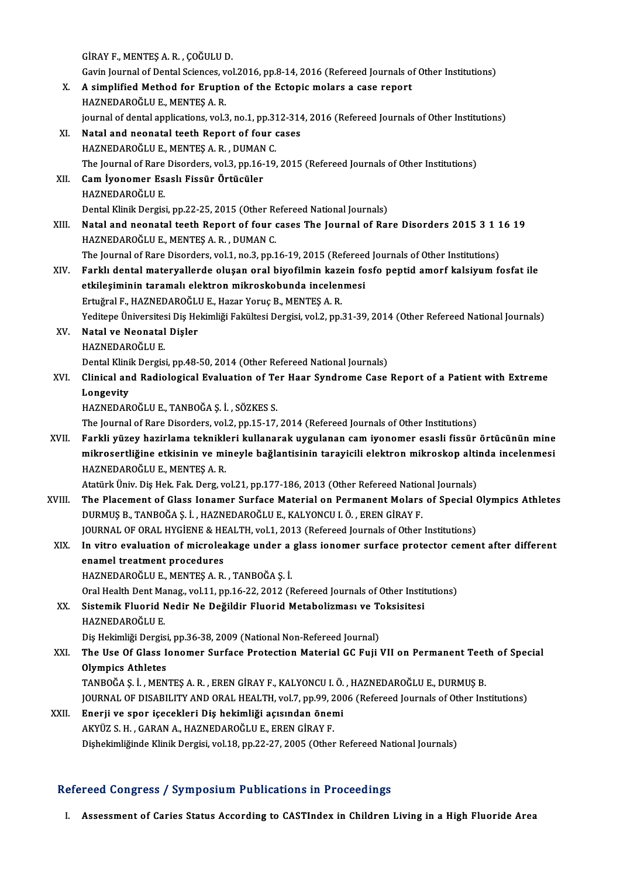GİRAYF.,MENTEŞA.R. ,ÇOĞULUD. GİRAY F., MENTEŞ A. R. , ÇOĞULU D.<br>Gavin Journal of Dental Sciences, vol.2016, pp.8-14, 2016 (Refereed Journals of Other Institutions)<br>A simplified Method for Enuntion of the Estenis melars a sess report GİRAY F., MENTEŞ A. R. , ÇOĞULU D.<br>Gavin Journal of Dental Sciences, vol.2016, pp.8-14, 2016 (Refereed Journals on<br>X. A simplified Method for Eruption of the Ectopic molars a case report<br>HAZNEDAROĞLU E. MENTES A. P. Gavin Journal of Dental Sciences, v<br>A simplified Method for Erupti<br>HAZNEDAROĞLU E., MENTEŞ A. R.<br>iournal of dental annlisations, val 3 A simplified Method for Eruption of the Ectopic molars a case report<br>HAZNEDAROĞLU E., MENTEŞ A. R.<br>journal of dental applications, vol.3, no.1, pp.312-314, 2016 (Refereed Journals of Other Institutions)<br>Natal and neonatal HAZNEDAROĞLU E., MENTEŞ A. R.<br>journal of dental applications, vol.3, no.1, pp.312-314<br>XI. Natal and neonatal teeth Report of four cases<br>HAZNEDAROĞLU E., MENTEŞ A. R. , DUMAN C. journal of dental applications, vol.3, no.1, pp.31<br>Natal and neonatal teeth Report of four<br>HAZNEDAROĞLU E., MENTEŞ A. R. , DUMAN C.<br>The Journal of Pare Diserders, vol.3, nn.16, 19. Natal and neonatal teeth Report of four cases<br>HAZNEDAROĞLU E., MENTEŞ A. R. , DUMAN C.<br>The Journal of Rare Disorders, vol.3, pp.16-19, 2015 (Refereed Journals of Other Institutions)<br>Cam Jyonomer Eseel: Eissür Örtücüler XII. Cam İyonomer Esaslı Fissür Örtücüler<br>HAZNEDAROĞLU E. The Journal of Rare<br>Cam İyonomer Es:<br>HAZNEDAROĞLU E.<br>Pontal Klinik Dorgis Cam İyonomer Esaslı Fissür Örtücüler<br>HAZNEDAROĞLU E.<br>Dental Klinik Dergisi, pp.22-25, 2015 (Other Refereed National Journals)<br>Natal and naanatal teath Benert of four gases The Journal of Ber XIII. Natal and neonatal teeth Report of four cases The Journal of Rare Disorders 2015 3 1 16 19<br>HAZNEDAROĞLU E., MENTES A. R., DUMAN C. Dental Klinik Dergisi, pp.22-25, 2015 (Other Re<br>Natal and neonatal teeth Report of four<br>HAZNEDAROĞLU E., MENTEŞ A. R. , DUMAN C.<br>The Journal of Bare Disordars vol.1, no.3, nn.1 Natal and neonatal teeth Report of four cases The Journal of Rare Disorders 2015 3 1 1<br>HAZNEDAROĞLU E., MENTEŞ A. R. , DUMAN C.<br>The Journal of Rare Disorders, vol.1, no.3, pp.16-19, 2015 (Refereed Journals of Other Institu HAZNEDAROĞLU E., MENTEŞ A. R. , DUMAN C.<br>The Journal of Rare Disorders, vol.1, no.3, pp.16-19, 2015 (Refereed Journals of Other Institutions)<br>XIV. Farklı dental materyallerde oluşan oral biyofilmin kazein fosfo peptid The Journal of Rare Disorders, vol.1, no.3, pp.16-19, 2015 (Refereed<br>Farklı dental materyallerde oluşan oral biyofilmin kazein fo<br>etkileşiminin taramalı elektron mikroskobunda incelenmesi<br>Ertvärel E. HAZNEDAROČLU E. Hazar Farklı dental materyallerde oluşan oral biyofilmin kaze<br>etkileşiminin taramalı elektron mikroskobunda incelen<br>Ertuğral F., HAZNEDAROĞLU E., Hazar Yoruç B., MENTEŞ A. R.<br>Yeditana Üniversitesi Dis Heltimliği Fekültesi Dergis etkileşiminin taramalı elektron mikroskobunda incelenmesi<br>Ertuğral F., HAZNEDAROĞLU E., Hazar Yoruç B., MENTEŞ A. R.<br>Yeditepe Üniversitesi Diş Hekimliği Fakültesi Dergisi, vol.2, pp.31-39, 2014 (Other Refereed National Jou Ertuğral F., HAZNEDAROĞLU E., Hazar Yoruç B., MENTEŞ A. R.<br>Yeditepe Üniversitesi Diş Hekimliği Fakültesi Dergisi, vol.2, pp.:<br>XV. **Natal ve Neonatal Dişler**<br>HAZNEDAROĞLU E. Yeditepe Üniversites<br><mark>Natal ve Neonatal</mark><br>HAZNEDAROĞLU E.<br>Pental Klinik Dergia Natal ve Neonatal Dişler<br>HAZNEDAROĞLU E.<br>Dental Klinik Dergisi, pp.48-50, 2014 (Other Refereed National Journals)<br>Clinical and Padiological Evaluation of Ter Haar Sundrame Case. XVI. Clinical and Radiological Evaluation of Ter Haar Syndrome Case Report of a Patient with Extreme<br>Longevity Dental Klini<br>Clinical an<br>Longevity<br>HAZNEDAR HAZNEDAROĞLUE.,TANBOĞAŞ. İ. ,SÖZKES S. The Journal of Rare Disorders, vol.2, pp.15-17, 2014 (Refereed Journals of Other Institutions) HAZNEDAROĞLU E., TANBOĞA Ş. İ. , SÖZKES S.<br>The Journal of Rare Disorders, vol.2, pp.15-17, 2014 (Refereed Journals of Other Institutions)<br>XVII. Farkli yüzey hazirlama teknikleri kullanarak uygulanan cam iyonomer esasli mikrosertliğine etkisinin ve mineyle bağlantisinin tarayicili elektron mikroskop altinda incelenmesi<br>HAZNEDAROĞLU E., MENTEŞ A. R. Farkli yüzey hazirlama teknikle<br>mikrosertliğine etkisinin ve mi<br>HAZNEDAROĞLU E., MENTEŞ A. R.<br>Atatürk Üniv Dis Hek, Fek, Ders va mikrosertliğine etkisinin ve mineyle bağlantisinin tarayicili elektron mikroskop alti:<br>HAZNEDAROĞLU E., MENTEŞ A. R.<br>Atatürk Üniv. Diş Hek. Fak. Derg, vol.21, pp.177-186, 2013 (Other Refereed National Journals)<br>The Blassme XVIII. The Placement of Glass Ionamer Surface Material on Permanent Molars of Special Olympics Athletes<br>DURMUS B., TANBOĞA S. İ., HAZNEDAROĞLU E., KALYONCU I. Ö., EREN GİRAY F. Atatürk Üniv. Diş Hek. Fak. Derg, vol.21, pp.177-186, 2013 (Other Refereed Nation<br>The Placement of Glass Ionamer Surface Material on Permanent Molars<br>DURMUŞ B., TANBOĞA Ş. İ. , HAZNEDAROĞLU E., KALYONCU I. Ö. , EREN GİRAY The Placement of Glass Ionamer Surface Material on Permanent Molars of Special (<br>DURMUŞ B., TANBOĞA Ş. İ. , HAZNEDAROĞLU E., KALYONCU I. Ö. , EREN GİRAY F.<br>JOURNAL OF ORAL HYGİENE & HEALTH, vol.1, 2013 (Refereed Journals o XIX. In vitro evaluation of microleakage under a glass ionomer surface protector cement after different enamel treatment procedures **JOURNAL OF ORAL HYGIENE & HE<br>In vitro evaluation of microles<br>enamel treatment procedures<br>HAZNEDAPOČLUE MENTES A P** HAZNEDAROĞLUE.,MENTEŞA.R. ,TANBOĞAŞ. İ. enamel treatment procedures<br>HAZNEDAROĞLU E., MENTEŞ A. R. , TANBOĞA Ş. İ.<br>Oral Health Dent Manag., vol.11, pp.16-22, 2012 (Refereed Journals of Other Institutions)<br>Sistemik Eluonid Nedin Ne Dežildin Eluonid Metabelizmesı v HAZNEDAROĞLU E., MENTEŞ A. R. , TANBOĞA Ş. İ.<br>Oral Health Dent Manag., vol.11, pp.16-22, 2012 (Refereed Journals of Other Instit<br>XX. Sistemik Fluorid Nedir Ne Değildir Fluorid Metabolizması ve Toksisitesi<br>HAZNEDAROĞLU E Oral Health Dent Ma<br>Sistemik Fluorid M<br>HAZNEDAROĞLU E.<br>Dis Hekimliği Dengis Sistemik Fluorid Nedir Ne Değildir Fluorid Metabolizması ve T<br>HAZNEDAROĞLU E.<br>Diş Hekimliği Dergisi, pp.36-38, 2009 (National Non-Refereed Journal)<br>The Use Of Class Jonomer Surface Pretestion Material CC Euii ) HAZNEDAROĞLU E.<br>Diş Hekimliği Dergisi, pp.36-38, 2009 (National Non-Refereed Journal)<br>XXI. The Use Of Glass Ionomer Surface Protection Material GC Fuji VII on Permanent Teeth of Special<br>Olympics Athletes Diş Hekimliği Dergisi, pp.36-38, 2009 (National Non-Refereed Journal)<br>The Use Of Glass Ionomer Surface Protection Material GC Fuji VII on Permanent Teet<br>Olympics Athletes<br>TANBOĞA S. İ. , MENTES A. R. , EREN GİRAY F., KALYO The Use Of Glass Ionomer Surface Protection Material GC Fuji VII on Permanent Teet<br>Olympics Athletes<br>TANBOĞA Ş. İ. , MENTEŞ A. R. , EREN GİRAY F., KALYONCU I. Ö. , HAZNEDAROĞLU E., DURMUŞ B.<br>JOUPMAL OF DISARILITY AND ORAL Olympics Athletes<br>TANBOĞA Ş. İ. , MENTEŞ A. R. , EREN GİRAY F., KALYONCU I. Ö. , HAZNEDAROĞLU E., DURMUŞ B.<br>JOURNAL OF DISABILITY AND ORAL HEALTH, vol.7, pp.99, 2006 (Refereed Journals of Other Institutions)<br>Fnerij ve sper XXII. Enerji ve spor içecekleri Diş hekimliği açısından önemi<br>AKYÜZ S. H., GARAN A., HAZNEDAROĞLU E., EREN GİRAY F. JOURNAL OF DISABILITY AND ORAL HEALTH, vol.7, pp.99, 2<br>Enerji ve spor içecekleri Diş hekimliği açısından öner<br>AKYÜZ S. H. , GARAN A., HAZNEDAROĞLU E., EREN GİRAY F.<br>Diskeltimliğinde Klinik Dergisi vol.18, pp.22, 22, 2005 ( Dişhekimliğinde Klinik Dergisi, vol.18, pp.22-27, 2005 (Other Refereed National Journals)

#### Refereed Congress / Symposium Publications in Proceedings

I. Assessment of Caries Status According to CASTIndex in Children Living in a High Fluoride Area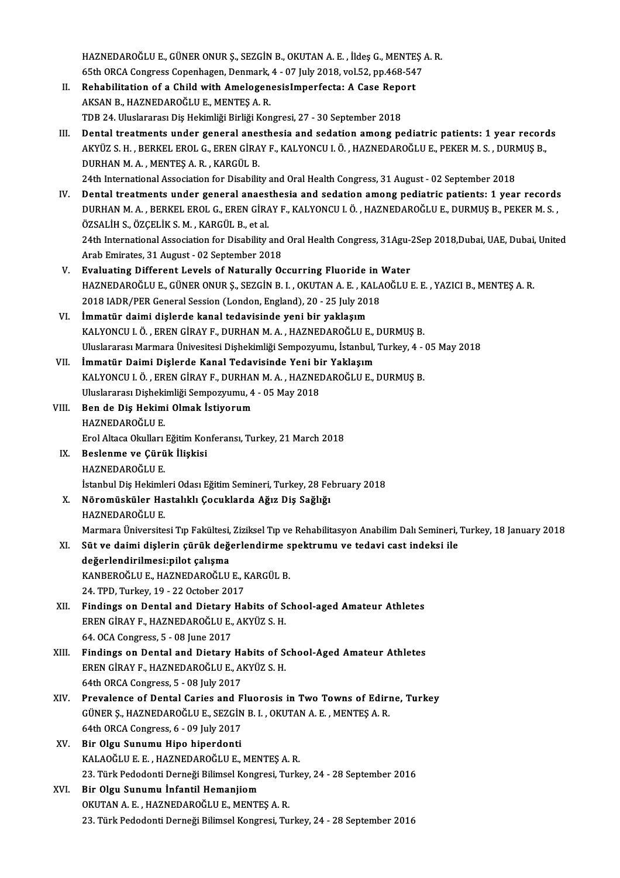HAZNEDAROĞLU E., GÜNER ONUR Ş., SEZGİN B., OKUTAN A. E. , İldeş G., MENTEŞ A. R.<br>SEth ORCA Congress Conenhagen, Denmark 4., 97 July 2018, vel 52, nn 468,547. HAZNEDAROĞLU E., GÜNER ONUR Ş., SEZGİN B., OKUTAN A. E. , İldeş G., MENTEŞ .<br>65th ORCA Congress Copenhagen, Denmark, 4 - 07 July 2018, vol.52, pp.468-547<br>Robabilitation of a Child with Amelegenesialmnarfesta: A Case Benert 65th ORCA Congress Copenhagen, Denmark, 4 - 07 July 2018, vol.52, pp.468-547

- II. Rehabilitation of a Child with AmelogenesisImperfecta: A Case Report AKSAN B., HAZNEDAROĞLU E., MENTES A. R. TDB 24. Uluslararası Diş Hekimliği Birliği Kongresi, 27 - 30 September 2018
- III. Dental treatments under general anesthesia and sedation among pediatric patients: 1 year records TDB 24. Uluslararası Diş Hekimliği Birliği Kongresi, 27 - 30 September 2018<br>Dental treatments under general anesthesia and sedation among pediatric patients: 1 year record<br>AKYÜZ S. H. , BERKEL EROL G., EREN GİRAY F., KALYO Dental treatments under general anes<br>AKYÜZ S. H. , BERKEL EROL G., EREN GİRA<br>DURHAN M. A. , MENTEŞ A. R. , KARGÜL B.<br>24th International Association for Disabilit AKYÜZ S. H. , BERKEL EROL G., EREN GİRAY F., KALYONCU I. Ö. , HAZNEDAROĞLU E., PEKER M. S. , DURI<br>DURHAN M. A. , MENTEŞ A. R. , KARGÜL B.<br>24th International Association for Disability and Oral Health Congress, 31 August - DURHAN M. A. , MENTES A. R. , KARGÜL B.<br>24th International Association for Disability and Oral Health Congress, 31 August - 02 September 2018<br>IV. Dental treatments under general anaesthesia and sedation among pediatric pat
- 24th International Association for Disability and Oral Health Congress, 31 August 02 September 2018<br>Dental treatments under general anaesthesia and sedation among pediatric patients: 1 year records<br>DURHAN M. A. , BERKEL Dental treatments under general anaes<br>DURHAN M. A., BERKEL EROL G., EREN GİRA<br>ÖZSALİH S., ÖZÇELİK S. M., KARGÜL B., et al.<br>24th International Association for Disebility DURHAN M. A. , BERKEL EROL G., EREN GİRAY F., KALYONCU I. Ö. , HAZNEDAROĞLU E., DURMUŞ B., PEKER M. S. ,<br>ÖZSALİH S., ÖZÇELİK S. M. , KARGÜL B., et al.<br>24th International Association for Disability and Oral Health Congress, ArabEmirates,31August -02 September 2018
- V. Evaluating Different Levels of Naturally Occurring Fluoride in Water Arab Emirates, 31 August - 02 September 2018<br><mark>Evaluating Different Levels of Naturally Occurring Fluoride in Water</mark><br>HAZNEDAROĞLU E., GÜNER ONUR Ş., SEZGİN B. I. , OKUTAN A. E. , KALAOĞLU E. E. , YAZICI B., MENTEŞ A. R.<br>201 Evaluating Different Levels of Naturally Occurring Fluoride in<br>HAZNEDAROĞLU E., GÜNER ONUR Ş., SEZGİN B. I. , OKUTAN A. E. , KALA<br>2018 IADR/PER General Session (London, England), 20 - 25 July 2018<br>İmmatür daimi dialarda ka HAZNEDAROĞLU E., GÜNER ONUR Ş., SEZGİN B. I., OKUTAN A. E., KA<br>2018 IADR/PER General Session (London, England), 20 - 25 July 201<br>VI. İmmatür daimi dişlerde kanal tedavisinde yeni bir yaklaşım<br>2018 VALYONCU LÖ, EREN CİRAY E
- 2018 IADR/PER General Session (London, England), 20 25 July 2018<br>VI. İmmatür daimi dişlerde kanal tedavisinde yeni bir yaklaşım<br>KALYONCU I. Ö., EREN GİRAY F., DURHAN M. A., HAZNEDAROĞLU E., DURMUŞ B. İmmatür daimi dişlerde kanal tedavisinde yeni bir yaklaşım<br>KALYONCU I. Ö. , EREN GİRAY F., DURHAN M. A. , HAZNEDAROĞLU E., DURMUŞ B.<br>Uluslararası Marmara Ünivesitesi Dişhekimliği Sempozyumu, İstanbul, Turkey, 4 - 05 May 20 KALYONCU I. Ö. , EREN GİRAY F., DURHAN M. A. , HAZNEDAROĞLU E., I<br>Uluslararası Marmara Ünivesitesi Dişhekimliği Sempozyumu, İstanbul,<br>VII. İmmatür Daimi Dişlerde Kanal Tedavisinde Yeni bir Yaklaşım<br>KALYONCU LÖ. EREN CİRAY
- Uluslararası Marmara Ünivesitesi Dişhekimliği Sempozyumu, İstanbul, Turkey, 4 -<br>İmmatür Daimi Dişlerde Kanal Tedavisinde Yeni bir Yaklaşım<br>KALYONCU I. Ö. , EREN GİRAY F., DURHAN M. A. , HAZNEDAROĞLU E., DURMUŞ B.<br>Uluslarar İmmatür Daimi Dişlerde Kanal Tedavisinde Yeni bir Yaklaşım<br>KALYONCU I. Ö. , EREN GİRAY F., DURHAN M. A. , HAZNEDAROĞLU E., DURMUŞ B.<br>Uluslararası Dişhekimliği Sempozyumu, 4 - 05 May 2018 KALYONCU I. Ö. , EREN GİRAY F., DURHAI<br>Uluslararası Dişhekimliği Sempozyumu, 4<br>VIII. Ben de Diş Hekimi Olmak İstiyorum
- Uluslararası Dişheki<br><mark>Ben de Diş Hekim</mark><br>HAZNEDAROĞLU E.<br><sup>Frol Altasa Olulları</sup> Ben de Diş Hekimi Olmak İstiyorum<br>HAZNEDAROĞLU E.<br>Erol Altaca Okulları Eğitim Konferansı, Turkey, 21 March 2018<br>Boslanme ve Gürük İliskisi HAZNEDAROĞLU E.<br>Erol Altaca Okulları Eğitim Koı<br>IX. Beslenme ve Çürük İlişkisi<br>HAZNEDAROĞLU E.
- Erol Altaca Okulları<br><mark>Beslenme ve Çürü</mark><br>HAZNEDAROĞLU E.<br>İstanbul Dis Hekimle Beslenme ve Çürük İlişkisi<br>HAZNEDAROĞLU E.<br>İstanbul Diş Hekimleri Odası Eğitim Semineri, Turkey, 28 February 2018<br>Nöromüsküler Hestalıklı Cesuklarda Ağız Diş Soğlığı HAZNEDAROĞLU E.<br>İstanbul Diş Hekimleri Odası Eğitim Semineri, Turkey, 28 Fe<br>X. Nöromüsküler Hastalıklı Çocuklarda Ağız Diş Sağlığı<br>HAZNEDAROĞLU E
- X. Nöromüsküler Hastalıklı Çocuklarda Ağız Diş Sağlığı<br>HAZNEDAROĞLU E. HAZNEDAROĞLU E.<br>Marmara Üniversitesi Tıp Fakültesi, Ziziksel Tıp ve Rehabilitasyon Anabilim Dalı Semineri, '<br>XI. Süt ve daimi dişlerin çürük değerlendirme spektrumu ve tedavi cast indeksi ile<br>değerlendirilmesinilet selisme

Marmara Üniversitesi Tıp Fakültesi, Ziziksel Tıp ve Rehabilitasyon Anabilim Dalı Semineri, Turkey, 18 January 2018

- Marmara Üniversitesi Tıp Fakültesi,<br>Süt ve daimi dişlerin çürük değ<br>değerlendirilmesi:pilot çalışma<br>KANPEROČULE, HAZNEDAROČUL Süt ve daimi dişlerin çürük değerlendirme s<br>değerlendirilmesi:pilot çalışma<br>KANBEROĞLU E., HAZNEDAROĞLU E., KARGÜL B.<br>24. TPD Turkey 19., 22 Ostaber 2017. değerlendirilmesi:pilot çalışma<br>KANBEROĞLU E., HAZNEDAROĞLU E., KARGÜL B.<br>24. TPD. Turkev. 19 - 22 October 2017
- XII. Findings on Dental and Dietary Habits of School-aged Amateur Athletes 24. TPD, Turkey, 19 - 22 October 2017<br>Findings on Dental and Dietary Habits of S.<br>EREN GİRAY F., HAZNEDAROĞLU E., AKYÜZ S. H. Findings on Dental and Dietary<br>EREN GİRAY F., HAZNEDAROĞLU E.,<br>64. OCA Congress, 5 - 08 June 2017<br>Findings on Dental and Dietary
- 64. OCA Congress, 5 08 June 2017<br>XIII. Findings on Dental and Dietary Habits of School-Aged Amateur Athletes 64. OCA Congress, 5 - 08 June 2017<br>Findings on Dental and Dietary Habits of S.<br>EREN GİRAY F., HAZNEDAROĞLU E., AKYÜZ S. H.<br>64th OPCA Congress, 5 - 08 July 2017 Findings on Dental and Dietary H.<br>EREN GİRAY F., HAZNEDAROĞLU E., Al<br>64th ORCA Congress, 5 - 08 July 2017<br>Prevalence of Dental Caries and E EREN GİRAY F., HAZNEDAROĞLU E., AKYÜZ S. H.<br>64th ORCA Congress, 5 - 08 July 2017<br>XIV. Prevalence of Dental Caries and Fluorosis in Two Towns of Edirne, Turkey<br>CÜNER S. HAZNEDAROĞLU E. SEZCİN B.L. OKUTAN A. E. MENTES A. B.
- 64th ORCA Congress, 5 08 July 2017<br>Prevalence of Dental Caries and Fluorosis in Two Towns of Ediri<br>GÜNER Ş., HAZNEDAROĞLU E., SEZGİN B. I. , OKUTAN A. E. , MENTEŞ A. R.<br>64th ORCA Congress, 6 09 July 2017 Prevalence of Dental Caries and F<br>GÜNER Ş., HAZNEDAROĞLU E., SEZGİN<br>64th ORCA Congress, 6 - 09 July 2017<br>Bir Olay Sunumu Hine binerdenti GÜNER Ş., HAZNEDAROĞLU E., SEZGİN B. I. , OKUTAN A. E. , MENTEŞ A. R.<br>64th ORCA Congress, 6 - 09 July 2017<br>XV. Bir Olgu Sunumu Hipo hiperdonti
- KALAOĞLUE.E. ,HAZNEDAROĞLUE.,MENTEŞA.R. Bir Olgu Sunumu Hipo hiperdonti<br>KALAOĞLU E. E. , HAZNEDAROĞLU E., MENTEŞ A. R.<br>23. Türk Pedodonti Derneği Bilimsel Kongresi, Turkey, 24 - 28 September 2016<br>Bir Olgu Sunumu İnfantil Hemanijam KALAOĞLU E. E. , HAZNEDAROĞLU E., MEN<br>23. Türk Pedodonti Derneği Bilimsel Kongr<br>XVI. Bir Olgu Sunumu İnfantil Hemanjiom<br>OVITAN A. E. HAZNEDAROĞLU E. MENTE
- 23. Türk Pedodonti Derneği Bilimsel Kongresi, Tu<br>Bir Olgu Sunumu İnfantil Hemanjiom<br>OKUTAN A. E. , HAZNEDAROĞLU E., MENTEŞ A. R.<br>22. Türk Pedodonti Derneği Bilimsel Kongresi Tu Bir Olgu Sunumu İnfantil Hemanjiom<br>OKUTAN A. E. , HAZNEDAROĞLU E., MENTEŞ A. R.<br>23. Türk Pedodonti Derneği Bilimsel Kongresi, Turkey, 24 - 28 September 2016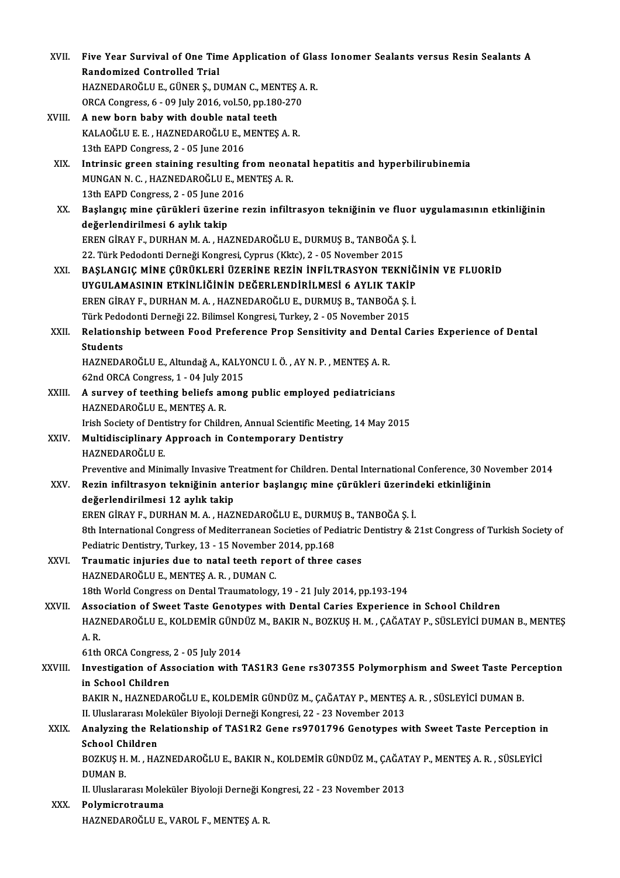| XVII.   | Five Year Survival of One Time Application of Glass Ionomer Sealants versus Resin Sealants A                       |
|---------|--------------------------------------------------------------------------------------------------------------------|
|         | <b>Randomized Controlled Trial</b>                                                                                 |
|         | HAZNEDAROĞLU E., GÜNER Ş., DUMAN C., MENTEŞ A.R.                                                                   |
|         | ORCA Congress, 6 - 09 July 2016, vol.50, pp.180-270                                                                |
| XVIII.  | A new born baby with double natal teeth                                                                            |
|         | KALAOĞLU E. E., HAZNEDAROĞLU E., MENTEŞ A. R.                                                                      |
|         | 13th EAPD Congress, 2 - 05 June 2016                                                                               |
| XIX.    | Intrinsic green staining resulting from neonatal hepatitis and hyperbilirubinemia                                  |
|         | MUNGAN N. C., HAZNEDAROĞLU E., MENTEŞ A. R.                                                                        |
|         | 13th EAPD Congress, 2 - 05 June 2016                                                                               |
| XX.     | Başlangıç mine çürükleri üzerine rezin infiltrasyon tekniğinin ve fluor uygulamasının etkinliğinin                 |
|         | değerlendirilmesi 6 aylık takip                                                                                    |
|         | EREN GİRAY F., DURHAN M. A., HAZNEDAROĞLU E., DURMUŞ B., TANBOĞA Ş. İ.                                             |
|         | 22. Türk Pedodonti Derneği Kongresi, Cyprus (Kktc), 2 - 05 November 2015                                           |
| XXI.    | BAŞLANGIÇ MİNE ÇÜRÜKLERİ ÜZERİNE REZİN İNFİLTRASYON TEKNİĞİNİN VE FLUORİD                                          |
|         | UYGULAMASININ ETKİNLİĞİNİN DEĞERLENDİRİLMESİ 6 AYLIK TAKİP                                                         |
|         | EREN GİRAY F., DURHAN M. A., HAZNEDAROĞLU E., DURMUŞ B., TANBOĞA Ş. İ.                                             |
|         | Türk Pedodonti Derneği 22. Bilimsel Kongresi, Turkey, 2 - 05 November 2015                                         |
| XXII.   | Relationship between Food Preference Prop Sensitivity and Dental Caries Experience of Dental                       |
|         | <b>Students</b>                                                                                                    |
|         | HAZNEDAROĞLU E., Altundağ A., KALYONCU I. Ö., AY N. P., MENTEŞ A. R.                                               |
|         | 62nd ORCA Congress, 1 - 04 July 2015                                                                               |
| XXIII.  | A survey of teething beliefs among public employed pediatricians                                                   |
|         | HAZNEDAROĞLU E., MENTEŞ A.R.                                                                                       |
|         | Irish Society of Dentistry for Children, Annual Scientific Meeting, 14 May 2015                                    |
| XXIV    | Multidisciplinary Approach in Contemporary Dentistry                                                               |
|         | HAZNEDAROĞLU E.                                                                                                    |
|         | Preventive and Minimally Invasive Treatment for Children. Dental International Conference, 30 November 2014        |
| XXV.    | Rezin infiltrasyon tekniğinin anterior başlangıç mine çürükleri üzerindeki etkinliğinin                            |
|         | değerlendirilmesi 12 aylık takip                                                                                   |
|         | EREN GİRAY F., DURHAN M. A., HAZNEDAROĞLU E., DURMUŞ B., TANBOĞA Ş. İ.                                             |
|         | 8th International Congress of Mediterranean Societies of Pediatric Dentistry & 21st Congress of Turkish Society of |
|         | Pediatric Dentistry, Turkey, 13 - 15 November 2014, pp.168                                                         |
| XXVI.   | Traumatic injuries due to natal teeth report of three cases                                                        |
|         | HAZNEDAROĞLU E., MENTEŞ A. R., DUMAN C.                                                                            |
|         | 18th World Congress on Dental Traumatology, 19 - 21 July 2014, pp.193-194                                          |
| XXVII.  | Association of Sweet Taste Genotypes with Dental Caries Experience in School Children                              |
|         | HAZNEDAROĞLU E., KOLDEMİR GÜNDÜZ M., BAKIR N., BOZKUŞ H. M., ÇAĞATAY P., SÜSLEYİCİ DUMAN B., MENTEŞ                |
|         | A.R.                                                                                                               |
|         | 61th ORCA Congress, 2 - 05 July 2014                                                                               |
| XXVIII. | Investigation of Association with TAS1R3 Gene rs307355 Polymorphism and Sweet Taste Perception                     |
|         | in School Children                                                                                                 |
|         | BAKIR N., HAZNEDAROĞLU E., KOLDEMİR GÜNDÜZ M., ÇAĞATAY P., MENTEŞ A. R., SÜSLEYİCİ DUMAN B.                        |
|         | II. Uluslararası Moleküler Biyoloji Derneği Kongresi, 22 - 23 November 2013                                        |
| XXIX.   | Analyzing the Relationship of TAS1R2 Gene rs9701796 Genotypes with Sweet Taste Perception in                       |
|         | <b>School Children</b>                                                                                             |
|         | BOZKUŞ H. M., HAZNEDAROĞLU E., BAKIR N., KOLDEMİR GÜNDÜZ M., ÇAĞATAY P., MENTEŞ A. R., SÜSLEYİCİ                   |
|         | <b>DUMAN B.</b>                                                                                                    |
|         | II. Uluslararası Moleküler Biyoloji Derneği Kongresi, 22 - 23 November 2013                                        |
| XXX.    | Polymicrotrauma                                                                                                    |
|         | HAZNEDAROĞLU E., VAROL F., MENTEŞ A. R.                                                                            |
|         |                                                                                                                    |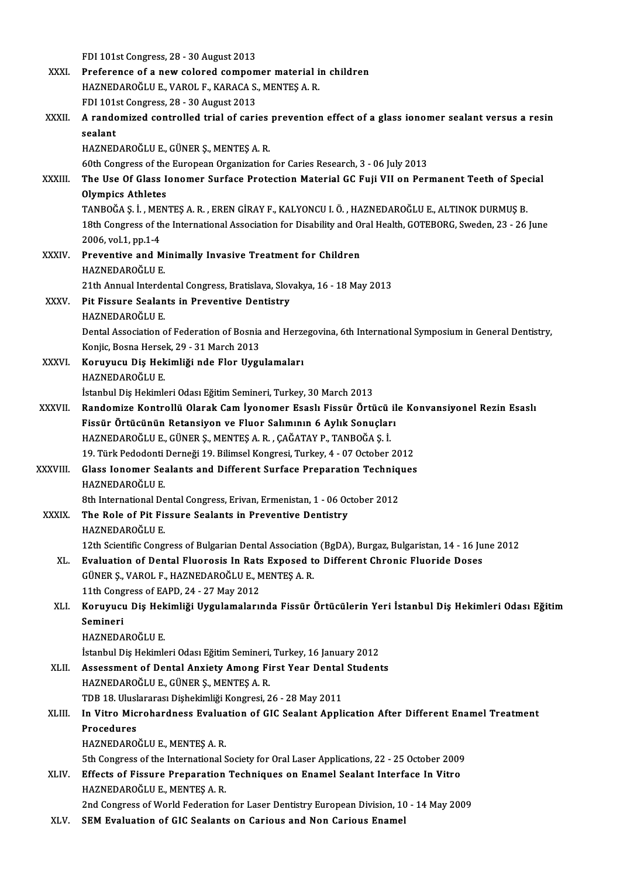|              | FDI 101st Congress, 28 - 30 August 2013                                                                       |
|--------------|---------------------------------------------------------------------------------------------------------------|
| XXXI.        | Preference of a new colored compomer material in children                                                     |
|              | HAZNEDAROĞLU E., VAROL F., KARACA S., MENTEŞ A. R.                                                            |
|              | FDI 101st Congress, 28 - 30 August 2013                                                                       |
| XXXII.       | A randomized controlled trial of caries prevention effect of a glass ionomer sealant versus a resin           |
|              | sealant                                                                                                       |
|              | HAZNEDAROĞLU E., GÜNER Ş., MENTEŞ A. R.                                                                       |
|              | 60th Congress of the European Organization for Caries Research, 3 - 06 July 2013                              |
| XXXIII.      | The Use Of Glass Ionomer Surface Protection Material GC Fuji VII on Permanent Teeth of Special                |
|              | <b>Olympics Athletes</b>                                                                                      |
|              | TANBOĞA Ş. İ., MENTEŞ A. R., EREN GİRAY F., KALYONCU I. Ö., HAZNEDAROĞLU E., ALTINOK DURMUŞ B.                |
|              | 18th Congress of the International Association for Disability and Oral Health, GOTEBORG, Sweden, 23 - 26 June |
|              | 2006, vol 1, pp 1-4                                                                                           |
| <b>XXXIV</b> | Preventive and Minimally Invasive Treatment for Children                                                      |
|              | HAZNEDAROĞLU E.                                                                                               |
|              | 21th Annual Interdental Congress, Bratislava, Slovakya, 16 - 18 May 2013                                      |
| XXXV.        | Pit Fissure Sealants in Preventive Dentistry                                                                  |
|              | HAZNEDAROĞLU E                                                                                                |
|              | Dental Association of Federation of Bosnia and Herzegovina, 6th International Symposium in General Dentistry, |
|              | Konjic, Bosna Hersek, 29 - 31 March 2013                                                                      |
| XXXVI.       | Koruyucu Diş Hekimliği nde Flor Uygulamaları                                                                  |
|              | HAZNEDAROĞLU E.                                                                                               |
|              | İstanbul Diş Hekimleri Odası Eğitim Semineri, Turkey, 30 March 2013                                           |
| XXXVII.      | Randomize Kontrollü Olarak Cam İyonomer Esaslı Fissür Örtücü ile Konvansiyonel Rezin Esaslı                   |
|              | Fissür Örtücünün Retansiyon ve Fluor Salımının 6 Aylık Sonuçları                                              |
|              | HAZNEDAROĞLU E., GÜNER Ş., MENTEŞ A. R., ÇAĞATAY P., TANBOĞA Ş. İ.                                            |
|              | 19. Türk Pedodonti Derneği 19. Bilimsel Kongresi, Turkey, 4 - 07 October 2012                                 |
| XXXVIII.     | Glass Ionomer Sealants and Different Surface Preparation Techniques<br><b>HAZNEDAROĞLU E</b>                  |
|              | 8th International Dental Congress, Erivan, Ermenistan, 1 - 06 October 2012                                    |
| <b>XXXIX</b> | The Role of Pit Fissure Sealants in Preventive Dentistry                                                      |
|              | HAZNEDAROĞLU E                                                                                                |
|              | 12th Scientific Congress of Bulgarian Dental Association (BgDA), Burgaz, Bulgaristan, 14 - 16 June 2012       |
| XL.          | Evaluation of Dental Fluorosis In Rats Exposed to Different Chronic Fluoride Doses                            |
|              | GÜNER Ş., VAROL F., HAZNEDAROĞLU E., MENTEŞ A. R.                                                             |
|              | 11th Congress of EAPD, 24 - 27 May 2012                                                                       |
| XLI.         | Koruyucu Diş Hekimliği Uygulamalarında Fissür Örtücülerin Yeri İstanbul Diş Hekimleri Odası Eğitim            |
|              | Semineri                                                                                                      |
|              | HAZNEDAROĞLU E.                                                                                               |
|              | İstanbul Diş Hekimleri Odası Eğitim Semineri, Turkey, 16 January 2012                                         |
| XLII.        | Assessment of Dental Anxiety Among First Year Dental Students                                                 |
|              | HAZNEDAROĞLU E., GÜNER Ş., MENTEŞ A. R.                                                                       |
|              | TDB 18. Uluslararası Dişhekimliği Kongresi, 26 - 28 May 2011                                                  |
| XLIII.       | In Vitro Microhardness Evaluation of GIC Sealant Application After Different Enamel Treatment                 |
|              | Procedures                                                                                                    |
|              | HAZNEDAROĞLU E., MENTEŞ A.R.                                                                                  |
|              | 5th Congress of the International Society for Oral Laser Applications, 22 - 25 October 2009                   |
| XLIV.        | Effects of Fissure Preparation Techniques on Enamel Sealant Interface In Vitro                                |
|              | HAZNEDAROĞLU E., MENTEŞ A.R.                                                                                  |
|              | 2nd Congress of World Federation for Laser Dentistry European Division, 10 - 14 May 2009                      |
| XLV.         | SEM Evaluation of GIC Sealants on Carious and Non Carious Enamel                                              |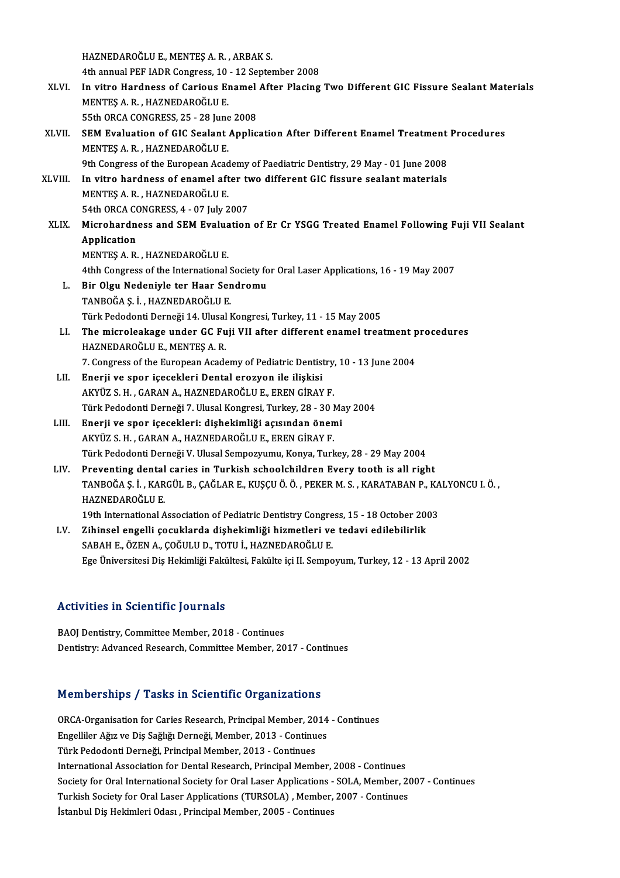HAZNEDAROĞLUE.,MENTEŞA.R. ,ARBAKS. HAZNEDAROĞLU E., MENTEŞ A. R. , ARBAK S.<br>4th annual PEF IADR Congress, 10 - 12 September 2008<br>In vitre Hardness of Carious Enamel After Plasing HAZNEDAROĞLU E., MENTEŞ A. R. , ARBAK S.<br>4th annual PEF IADR Congress, 10 - 12 September 2008<br>XLVI. In vitro Hardness of Carious Enamel After Placing Two Different GIC Fissure Sealant Materials<br>MENTES A. R. HAZNEDAROĞLU E 4th annual PEF IADR Congress, 10<br>In vitro Hardness of Carious En<br>MENTES A. R. , HAZNEDAROĞLU E.<br>EEth OPCA CONCRESS 25 - 28 kung In vitro Hardness of Carious Enamel<br>MENTEȘ A. R. , HAZNEDAROĞLU E.<br>55th ORCA CONGRESS, 25 - 28 June 2008<br>SEM Evaluation of CIC Soalant Annlic MENTEȘ A. R. , HAZNEDAROĞLU E.<br>55th ORCA CONGRESS, 25 - 28 June 2008<br>XLVII. SEM Evaluation of GIC Sealant Application After Different Enamel Treatment Procedures<br>MENTES A B. HAZNEDAROĞLU E 55th ORCA CONGRESS, 25 - 28 June 2008<br>SEM Evaluation of GIC Sealant Application After Different Enamel Treatment<br>MENTEŞ A. R. , HAZNEDAROĞLU E.<br>9th Congress of the European Academy of Paediatric Dentistry, 29 May - 01 June SEM Evaluation of GIC Sealant Application After Different Enamel Treatment<br>MENTES A. R. , HAZNEDAROĞLU E.<br>9th Congress of the European Academy of Paediatric Dentistry, 29 May - 01 June 2008<br>In vitre bardness of enamel afte MENTEȘ A. R. , HAZNEDAROĞLU E.<br>9th Congress of the European Academy of Paediatric Dentistry, 29 May - 01 June 2008<br>XLVIII. In vitro hardness of enamel after two different GIC fissure sealant materials<br>MENTES A B. HAZNEDARO 9th Congress of the European Acad<br>In vitro hardness of enamel aft<br>MENTES A. R. , HAZNEDAROĞLU E.<br>54th OBCA CONCRESS 4 - 07 July 2 In vitro hardness of enamel after tv<br>MENTEŞ A. R. , HAZNEDAROĞLU E.<br>54th ORCA CONGRESS, 4 - 07 July 2007<br>Misrobardness and SEM Evaluation MENTEŞ A. R., HAZNEDAROĞLU E.<br>54th ORCA CONGRESS, 4 - 07 July 2007<br>XLIX. Microhardness and SEM Evaluation of Er Cr YSGG Treated Enamel Following Fuji VII Sealant<br>Application 54th ORCA CONGRESS, 4 - 07 July 2007 MENTEŞA.R. ,HAZNEDAROĞLUE. Application<br>MENTEȘ A. R. , HAZNEDAROĞLU E.<br>4thh Congress of the International Society for Oral Laser Applications, 16 - 19 May 2007<br>Bir Olsu Nodeniyle ter Haar Sandromu. L. Bir Olgu Nedeniyle ter Haar Sendromu 4thh Congress of the International S<br>Bir Olgu Nedeniyle ter Haar Ser<br>TANBOĞA Ş. İ. , HAZNEDAROĞLU E.<br>Türk Pededenti Derneği 14 Huyal I Türk Pedodonti Derneği 14. Ulusal Kongresi, Turkey, 11 - 15 May 2005 TANBOĞA Ș. İ. , HAZNEDAROĞLU E.<br>Türk Pedodonti Derneği 14. Ulusal Kongresi, Turkey, 11 - 15 May 2005<br>LI. The microleakage under GC Fuji VII after different enamel treatment procedures<br>HAZNEDAROĞLU E. MENTES A. P. HAZNEDAROĞLU E., MENTEŞ A. R.<br>7. Congress of the European Academy of Pediatric Dentistry, 10 - 13 June 2004 The microleakage under GC Fuji VII after different enamel treatment p<br>HAZNEDAROĞLU E., MENTEŞ A. R.<br>7. Congress of the European Academy of Pediatric Dentistry, 10 - 13 June 2004<br>Enerii ve sper isesekleri Dental eregyen ile LII. Enerji ve spor içecekleri Dental erozyon ile ilişkisi AKYÜZ S.H., GARAN A., HAZNEDAROĞLU E., EREN GİRAY F. Enerji ve spor içecekleri Dental erozyon ile ilişkisi<br>AKYÜZ S. H. , GARAN A., HAZNEDAROĞLU E., EREN GİRAY F.<br>Türk Pedodonti Derneği 7. Ulusal Kongresi, Turkey, 28 - 30 May 2004<br>Enerii ve spor isesekleri: dishekimliği asısı LIII. Enerji ve spor içecekleri: dişhekimliği açısından önemi<br>AKYÜZ S. H., GARAN A., HAZNEDAROĞLU E., EREN GİRAY F. Türk Pedodonti Derneği 7. Ulusal Kongresi, Turkey, 28 - 30 M<br>Enerji ve spor içecekleri: dişhekimliği açısından önen<br>AKYÜZ S. H. , GARAN A., HAZNEDAROĞLU E., EREN GİRAY F.<br>Türk Pededenti Derneği V. Ulusal Sannegrumu, Konya Türk Pedodonti Derneği V. Ulusal Sempozyumu, Konya, Turkey, 28 - 29 May 2004 LIV. Preventing dental caries in Turkish schoolchildren Every tooth is all right Türk Pedodonti Derneği V. Ulusal Sempozyumu, Konya, Turkey, 28 - 29 May 2004<br><mark>Preventing dental caries in Turkish schoolchildren Every tooth is all right</mark><br>TANBOĞA Ş. İ. , KARGÜL B., ÇAĞLAR E., KUŞÇU Ö. Ö. , PEKER M. S. , K Pre<mark>venting dental</mark><br>TANBOĞA Ş. İ. , KAR<br>HAZNEDAROĞLU E.<br>19th International A TANBOĞA Ş. İ. , KARGÜL B., ÇAĞLAR E., KUŞÇU Ö. Ö. , PEKER M. S. , KARATABAN P., KA<br>HAZNEDAROĞLU E.<br>19th International Association of Pediatric Dentistry Congress, 15 - 18 October 2003<br>Zibineel engelli eesuklarda disbekimli HAZNEDAROĞLU E.<br>19th International Association of Pediatric Dentistry Congress, 15 - 18 October 200<br>LV. Zihinsel engelli çocuklarda dişhekimliği hizmetleri ve tedavi edilebilirlik<br>SARAH E. ÖZEN A. COĞULU D. TOTU İ. HAZNEDA 19th International Association of Pediatric Dentistry Congre<br>Zihinsel engelli çocuklarda dişhekimliği hizmetleri ve<br>SABAH E., ÖZEN A., ÇOĞULU D., TOTU İ., HAZNEDAROĞLU E.<br>Ess Üniversitesi Diş Hekimliği Fekültesi, Fekülte i SABAH E., ÖZEN A., ÇOĞULU D., TOTU İ., HAZNEDAROĞLU E.<br>Ege Üniversitesi Diş Hekimliği Fakültesi, Fakülte içi II. Sempoyum, Turkey, 12 - 13 April 2002

### Activities in Scientific Journals

BAOJ Dentistry, Committee Member, 2018 - Continues Dentistry: Advanced Research, Committee Member, 2017 - Continues

### Memberships / Tasks in Scientific Organizations

ORCA-Organisation for Caries Research, Principal Member, 2014 - Continues Engeliler Ağız ve Diş Sağlığı Derneği, Member, 2013 - Continues<br>Engelliler Ağız ve Diş Sağlığı Derneği, Member, 2013 - Continues<br>Türk Bododonti Derneği, Prinsinal Member, 2013 - Continues ORCA-Organisation for Caries Research, Principal Member, 20<br>Engelliler Ağız ve Diş Sağlığı Derneği, Member, 2013 - Continu<br>Türk Pedodonti Derneği, Principal Member, 2013 - Continues<br>International Association for Dantal Bes Türk Pedodonti Derneği, Principal Member, 2013 - Continues<br>International Association for Dental Research, Principal Member, 2008 - Continues Türk Pedodonti Derneği, Principal Member, 2013 - Continues<br>International Association for Dental Research, Principal Member, 2008 - Continues<br>Society for Oral International Society for Oral Laser Applications - SOLA, Member International Association for Dental Research, Principal Member, 2008 - Continues<br>Society for Oral International Society for Oral Laser Applications - SOLA, Member, 20<br>Turkish Society for Oral Laser Applications (TURSOLA) Turkish Society for Oral Laser Applications (TURSOLA), Member, 2007 - Continues İstanbul Diş Hekimleri Odası, Principal Member, 2005 - Continues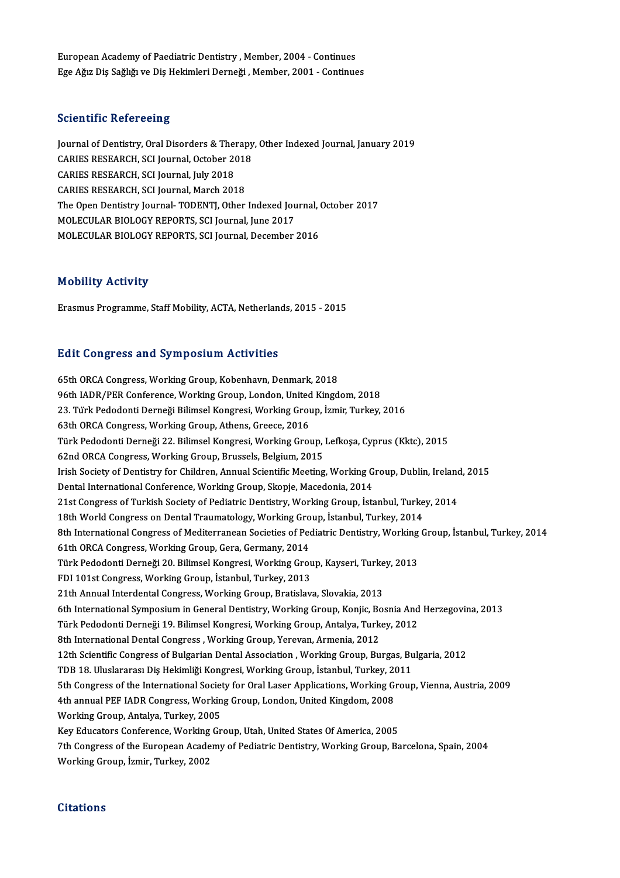European Academy of Paediatric Dentistry, Member, 2004 - Continues Ege Ağız Diş Sağlığı ve Diş Hekimleri Derneği , Member, 2001 - Continues

#### **Scientific Refereeing**

Scientific Refereeing<br>Journal of Dentistry, Oral Disorders & Therapy, Other Indexed Journal, January 2019<br>CARIES RESEARCH SCLIQUERAL October 2019 CARIES RESEARCH, Oral Disorders & Therapy<br>Journal of Dentistry, Oral Disorders & Therapy<br>CARIES RESEARCH, SCI Journal, October 2018<br>CARIES RESEARCH, SCI Journal, July 2019 Journal of Dentistry, Oral Disorders & The<br>CARIES RESEARCH, SCI Journal, October 20<br>CARIES RESEARCH, SCI Journal, July 2018<br>CARIES RESEARCH, SCI Journal, March 201 CARIES RESEARCH, SCI Journal, October 2018<br>CARIES RESEARCH, SCI Journal, July 2018<br>CARIES RESEARCH, SCI Journal, March 2018 CARIES RESEARCH, SCI Journal, July 2018<br>CARIES RESEARCH, SCI Journal, March 2018<br>The Open Dentistry Journal-TODENTJ, Other Indexed Journal, October 2017<br>MOLECULAR RIOLOCY REPORTS, SCI Journal June 2017 CARIES RESEARCH, SCI Journal, March 2018<br>The Open Dentistry Journal- TODENTJ, Other Indexed Jou<br>MOLECULAR BIOLOGY REPORTS, SCI Journal, June 2017<br>MOLECULAR BIOLOGY REPORTS, SCI Journal, Desember The Open Dentistry Journal- TODENTJ, Other Indexed Journal, (<br>MOLECULAR BIOLOGY REPORTS, SCI Journal, June 2017<br>MOLECULAR BIOLOGY REPORTS, SCI Journal, December 2016 MOLECULAR BIOLOGY REPORTS, SCI Journal, December 2016<br>Mobility Activity

Erasmus Programme, Staff Mobility, ACTA, Netherlands, 2015 - 2015

#### **Edit Congress and Symposium Activities**

65th ORCA Congress, Working Group, Kobenhavn, Denmark, 2018 96th ORCA Congress, Working Group, Kobenhavn, Denmark, 2018<br>96th IADR/PER Conference, Working Group, London, United Kingdom, 2018<br>22. Tijul: Pededenti Derneği Bilimsel Kongresi, Werking Croup, İsmir Turkey 23. Türk Pedodonti Derneği Bilimsel Kongresi, Working Group, İzmir, Turkey, 2016<br>63th ORCA Congress, Working Group, Athens, Greece, 2016 96th IADR/PER Conference, Working Group, London, United<br>23. Türk Pedodonti Derneği Bilimsel Kongresi, Working Grou<br>63th ORCA Congress, Working Group, Athens, Greece, 2016<br>Türk Pedodonti Derneği 22. Bilimsel Kongresi, Worki 23. Türk Pedodonti Derneği Bilimsel Kongresi, Working Group, İzmir, Turkey, 2016<br>63th ORCA Congress, Working Group, Athens, Greece, 2016<br>Türk Pedodonti Derneği 22. Bilimsel Kongresi, Working Group, Lefkoşa, Cyprus (Kktc), 63th ORCA Congress, Working Group, Athens, Greece, 2016<br>Türk Pedodonti Derneği 22. Bilimsel Kongresi, Working Group,<br>62nd ORCA Congress, Working Group, Brussels, Belgium, 2015<br>Irish Sociaty of Dontistry for Children, Annua Türk Pedodonti Derneği 22. Bilimsel Kongresi, Working Group, Lefkoşa, Cyprus (Kktc), 2015<br>62nd ORCA Congress, Working Group, Brussels, Belgium, 2015<br>Irish Society of Dentistry for Children, Annual Scientific Meeting, Worki 62nd ORCA Congress, Working Group, Brussels, Belgium, 2015<br>Irish Society of Dentistry for Children, Annual Scientific Meeting, Working Group, Dublin, Irelan<br>Dental International Conference, Working Group, Skopje, Macedonia Irish Society of Dentistry for Children, Annual Scientific Meeting, Working Group, Dublin, Ireland<br>Dental International Conference, Working Group, Skopje, Macedonia, 2014<br>21st Congress of Turkish Society of Pediatric Denti Dental International Conference, Working Group, Skopje, Macedonia, 2014<br>21st Congress of Turkish Society of Pediatric Dentistry, Working Group, İstanbul, Turke<br>18th World Congress on Dental Traumatology, Working Group, İst 8th International Congress of Mediterranean Societies of Pediatric Dentistry, Working Group, İstanbul, Turkey, 2014<br>61th ORCA Congress, Working Group, Gera, Germany, 2014 18th World Congress on Dental Traumatology, Working Gro<br>8th International Congress of Mediterranean Societies of Peo<br>61th ORCA Congress, Working Group, Gera, Germany, 2014<br>Türk Bododonti Derneği 20, Bilimsel Kongresi, Work 8th International Congress of Mediterranean Societies of Pediatric Dentistry, Working<br>61th ORCA Congress, Working Group, Gera, Germany, 2014<br>Türk Pedodonti Derneği 20. Bilimsel Kongresi, Working Group, Kayseri, Turkey, 201 61th ORCA Congress, Working Group, Gera, Germany, 2014<br>Türk Pedodonti Derneği 20. Bilimsel Kongresi, Working Grou<br>FDI 101st Congress, Working Group, İstanbul, Turkey, 2013<br>21th Annual Interdental Congress, Working Croup, P Türk Pedodonti Derneği 20. Bilimsel Kongresi, Working Group, Kayseri, Turke<br>FDI 101st Congress, Working Group, İstanbul, Turkey, 2013<br>21th Annual Interdental Congress, Working Group, Bratislava, Slovakia, 2013<br>6th Internat FDI 101st Congress, Working Group, İstanbul, Turkey, 2013<br>21th Annual Interdental Congress, Working Group, Bratislava, Slovakia, 2013<br>6th International Symposium in General Dentistry, Working Group, Konjic, Bosnia And Herz 21th Annual Interdental Congress, Working Group, Bratislava, Slovakia, 2013<br>6th International Symposium in General Dentistry, Working Group, Konjic, Bosnia And<br>Türk Pedodonti Derneği 19. Bilimsel Kongresi, Working Group, A 6th International Symposium in General Dentistry, Working Group, Konjic, Bo<br>Türk Pedodonti Derneği 19. Bilimsel Kongresi, Working Group, Antalya, Turk<br>8th International Dental Congress , Working Group, Yerevan, Armenia, 20 Türk Pedodonti Derneği 19. Bilimsel Kongresi, Working Group, Antalya, Turkey, 2012<br>8th International Dental Congress , Working Group, Yerevan, Armenia, 2012<br>12th Scientific Congress of Bulgarian Dental Association , Workin 8th International Dental Congress , Working Group, Yerevan, Armenia, 2012<br>12th Scientific Congress of Bulgarian Dental Association , Working Group, Burgas, Bu<br>TDB 18. Uluslararası Diş Hekimliği Kongresi, Working Group, İst TDB 18. Uluslararası Diş Hekimliği Kongresi, Working Group, İstanbul, Turkey, 2011<br>5th Congress of the International Society for Oral Laser Applications, Working Group, Vienna, Austria, 2009 TDB 18. Uluslararası Diş Hekimliği Kongresi, Working Group, İstanbul, Turkey, 20<br>5th Congress of the International Society for Oral Laser Applications, Working Gi<br>4th annual PEF IADR Congress, Working Group, London, United 5th Congress of the International Societ<br>4th annual PEF IADR Congress, Workin<br>Working Group, Antalya, Turkey, 2005<br>Kay Educators Conforonse, Working Cr 4th annual PEF IADR Congress, Working Group, London, United Kingdom, 2008<br>Working Group, Antalya, Turkey, 2005<br>Key Educators Conference, Working Group, Utah, United States Of America, 2005<br>7th Congress of the European Ased Working Group, Antalya, Turkey, 2005<br>Key Educators Conference, Working Group, Utah, United States Of America, 2005<br>7th Congress of the European Academy of Pediatric Dentistry, Working Group, Barcelona, Spain, 2004<br>Working Key Educators Conference, Working<br>7th Congress of the European Acade:<br>Working Group, İzmir, Turkey, 2002 Working Group, İzmir, Turkey, 2002<br>Citations